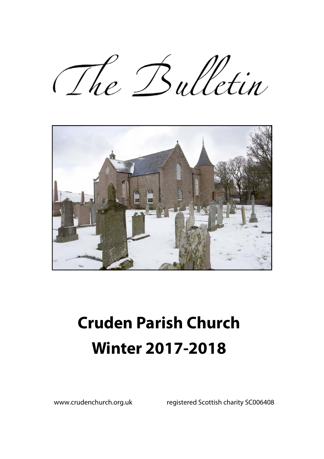The Bulletin



# **Cruden Parish Church Winter 2017-2018**

www.crudenchurch.org.uk registered Scottish charity SC006408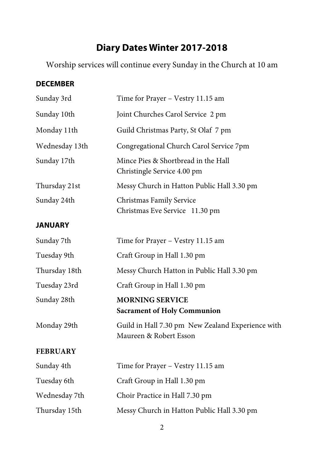# **Diary Dates Winter 2017-2018**

Worship services will continue every Sunday in the Church at 10 am

#### **DECEMBER**

| Sunday 3rd      | Time for Prayer - Vestry 11.15 am                                           |  |  |
|-----------------|-----------------------------------------------------------------------------|--|--|
| Sunday 10th     | Joint Churches Carol Service 2 pm                                           |  |  |
| Monday 11th     | Guild Christmas Party, St Olaf 7 pm                                         |  |  |
| Wednesday 13th  | Congregational Church Carol Service 7pm                                     |  |  |
| Sunday 17th     | Mince Pies & Shortbread in the Hall<br>Christingle Service 4.00 pm          |  |  |
| Thursday 21st   | Messy Church in Hatton Public Hall 3.30 pm                                  |  |  |
| Sunday 24th     | Christmas Family Service<br>Christmas Eve Service 11.30 pm                  |  |  |
| <b>JANUARY</b>  |                                                                             |  |  |
| Sunday 7th      | Time for Prayer - Vestry 11.15 am                                           |  |  |
| Tuesday 9th     | Craft Group in Hall 1.30 pm                                                 |  |  |
| Thursday 18th   | Messy Church Hatton in Public Hall 3.30 pm                                  |  |  |
| Tuesday 23rd    | Craft Group in Hall 1.30 pm                                                 |  |  |
| Sunday 28th     | <b>MORNING SERVICE</b><br><b>Sacrament of Holy Communion</b>                |  |  |
| Monday 29th     | Guild in Hall 7.30 pm New Zealand Experience with<br>Maureen & Robert Esson |  |  |
| <b>FEBRUARY</b> |                                                                             |  |  |
| Sunday 4th      | Time for Prayer - Vestry 11.15 am                                           |  |  |
| Tuesday 6th     | Craft Group in Hall 1.30 pm                                                 |  |  |
| Wednesday 7th   | Choir Practice in Hall 7.30 pm                                              |  |  |
| Thursday 15th   | Messy Church in Hatton Public Hall 3.30 pm                                  |  |  |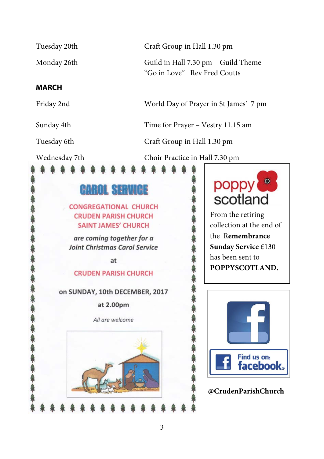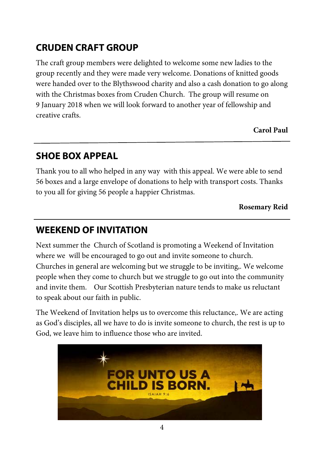# **CRUDEN CRAFT GROUP**

The craft group members were delighted to welcome some new ladies to the group recently and they were made very welcome. Donations of knitted goods were handed over to the Blythswood charity and also a cash donation to go along with the Christmas boxes from Cruden Church. The group will resume on 9 January 2018 when we will look forward to another year of fellowship and creative crafts.

**Carol Paul** 

## **SHOE BOX APPEAL**

Thank you to all who helped in any way with this appeal. We were able to send 56 boxes and a large envelope of donations to help with transport costs. Thanks to you all for giving 56 people a happier Christmas.

**Rosemary Reid** 

## **WEEKEND OF INVITATION**

Next summer the Church of Scotland is promoting a Weekend of Invitation where we will be encouraged to go out and invite someone to church. Churches in general are welcoming but we struggle to be inviting,. We welcome people when they come to church but we struggle to go out into the community and invite them. Our Scottish Presbyterian nature tends to make us reluctant to speak about our faith in public.

The Weekend of Invitation helps us to overcome this reluctance,. We are acting as God's disciples, all we have to do is invite someone to church, the rest is up to God, we leave him to influence those who are invited.

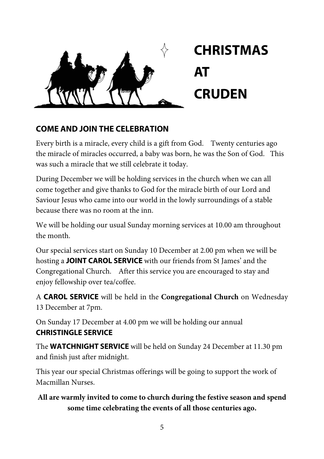

# **CHRISTMAS AT CRUDEN**

#### **COME AND JOIN THE CELEBRATION**

Every birth is a miracle, every child is a gift from God. Twenty centuries ago the miracle of miracles occurred, a baby was born, he was the Son of God. This was such a miracle that we still celebrate it today.

During December we will be holding services in the church when we can all come together and give thanks to God for the miracle birth of our Lord and Saviour Jesus who came into our world in the lowly surroundings of a stable because there was no room at the inn.

We will be holding our usual Sunday morning services at 10.00 am throughout the month.

Our special services start on Sunday 10 December at 2.00 pm when we will be hosting a **JOINT CAROL SERVICE** with our friends from St James' and the Congregational Church. After this service you are encouraged to stay and enjoy fellowship over tea/coffee.

A **CAROL SERVICE** will be held in the **Congregational Church** on Wednesday 13 December at 7pm.

On Sunday 17 December at 4.00 pm we will be holding our annual **CHRISTINGLE SERVICE**

The **WATCHNIGHT SERVICE** will be held on Sunday 24 December at 11.30 pm and finish just after midnight.

This year our special Christmas offerings will be going to support the work of Macmillan Nurses.

#### **All are warmly invited to come to church during the festive season and spend some time celebrating the events of all those centuries ago.**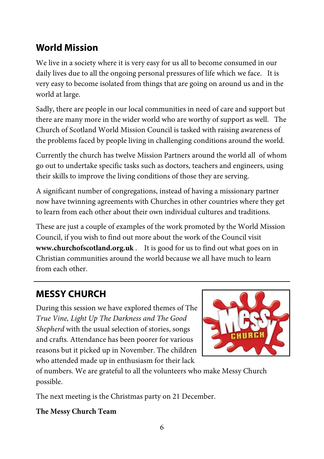## **World Mission**

We live in a society where it is very easy for us all to become consumed in our daily lives due to all the ongoing personal pressures of life which we face. It is very easy to become isolated from things that are going on around us and in the world at large.

Sadly, there are people in our local communities in need of care and support but there are many more in the wider world who are worthy of support as well. The Church of Scotland World Mission Council is tasked with raising awareness of the problems faced by people living in challenging conditions around the world.

Currently the church has twelve Mission Partners around the world all of whom go out to undertake specific tasks such as doctors, teachers and engineers, using their skills to improve the living conditions of those they are serving.

A significant number of congregations, instead of having a missionary partner now have twinning agreements with Churches in other countries where they get to learn from each other about their own individual cultures and traditions.

These are just a couple of examples of the work promoted by the World Mission Council, if you wish to find out more about the work of the Council visit **www.churchofscotland.org.uk** . It is good for us to find out what goes on in Christian communities around the world because we all have much to learn from each other.

# **MESSY CHURCH**

During this session we have explored themes of The *True Vine, Light Up The Darkness and The Good Shepherd* with the usual selection of stories, songs and crafts. Attendance has been poorer for various reasons but it picked up in November. The children who attended made up in enthusiasm for their lack



of numbers. We are grateful to all the volunteers who make Messy Church possible.

The next meeting is the Christmas party on 21 December.

#### **The Messy Church Team**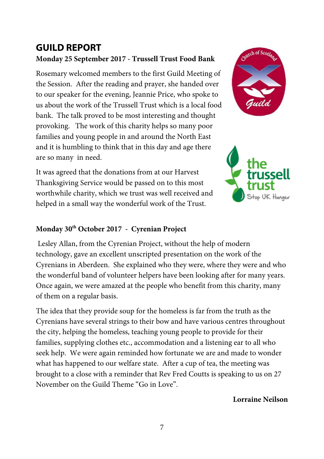### **GUILD REPORT Monday 25 September 2017 - Trussell Trust Food Bank**

Rosemary welcomed members to the first Guild Meeting of the Session. After the reading and prayer, she handed over to our speaker for the evening, Jeannie Price, who spoke to us about the work of the Trussell Trust which is a local food bank. The talk proved to be most interesting and thought provoking. The work of this charity helps so many poor families and young people in and around the North East and it is humbling to think that in this day and age there are so many in need.

It was agreed that the donations from at our Harvest Thanksgiving Service would be passed on to this most worthwhile charity, which we trust was well received and helped in a small way the wonderful work of the Trust.





#### **Monday 30th October 2017 - Cyrenian Project**

Lesley Allan, from the Cyrenian Project, without the help of modern technology, gave an excellent unscripted presentation on the work of the Cyrenians in Aberdeen. She explained who they were, where they were and who the wonderful band of volunteer helpers have been looking after for many years. Once again, we were amazed at the people who benefit from this charity, many of them on a regular basis.

The idea that they provide soup for the homeless is far from the truth as the Cyrenians have several strings to their bow and have various centres throughout the city, helping the homeless, teaching young people to provide for their families, supplying clothes etc., accommodation and a listening ear to all who seek help. We were again reminded how fortunate we are and made to wonder what has happened to our welfare state. After a cup of tea, the meeting was brought to a close with a reminder that Rev Fred Coutts is speaking to us on 27 November on the Guild Theme "Go in Love".

**Lorraine Neilson**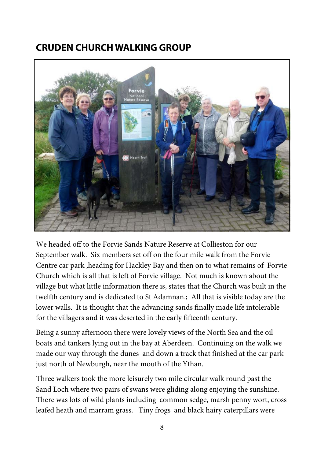### **CRUDEN CHURCH WALKING GROUP**



We headed off to the Forvie Sands Nature Reserve at Collieston for our September walk. Six members set off on the four mile walk from the Forvie Centre car park ,heading for Hackley Bay and then on to what remains of Forvie Church which is all that is left of Forvie village. Not much is known about the village but what little information there is, states that the Church was built in the twelfth century and is dedicated to St Adamnan.; All that is visible today are the lower walls. It is thought that the advancing sands finally made life intolerable for the villagers and it was deserted in the early fifteenth century.

Being a sunny afternoon there were lovely views of the North Sea and the oil boats and tankers lying out in the bay at Aberdeen. Continuing on the walk we made our way through the dunes and down a track that finished at the car park just north of Newburgh, near the mouth of the Ythan.

Three walkers took the more leisurely two mile circular walk round past the Sand Loch where two pairs of swans were gliding along enjoying the sunshine. There was lots of wild plants including common sedge, marsh penny wort, cross leafed heath and marram grass. Tiny frogs and black hairy caterpillars were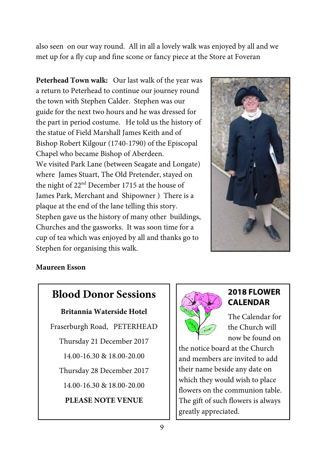also seen on our way round. All in all a lovely walk was enjoyed by all and we met up for a fly cup and fine scone or fancy piece at the Store at Foveran

**Peterhead Town walk:** Our last walk of the year was a return to Peterhead to continue our journey round the town with Stephen Calder. Stephen was our guide for the next two hours and he was dressed for the part in period costume. He told us the history of the statue of Field Marshall James Keith and of Bishop Robert Kilgour (1740-1790) of the Episcopal Chapel who became Bishop of Aberdeen. We visited Park Lane (between Seagate and Longate) where James Stuart, The Old Pretender, stayed on the night of 22<sup>nd</sup> December 1715 at the house of James Park, Merchant and Shipowner ) There is a plaque at the end of the lane telling this story. Stephen gave us the history of many other buildings, Churches and the gasworks. It was soon time for a cup of tea which was enjoyed by all and thanks go to Stephen for organising this walk.



#### **Maureen Esson**

## **Blood Donor Sessions**

#### **Britannia Waterside Hotel**

Fraserburgh Road, PETERHEAD Thursday 21 December 2017 14.00-16.30 & 18.00-20.00 Thursday 28 December 2017

14.00-16.30 & 18.00-20.00

**PLEASE NOTE VENUE** 



#### **2018 FLOWER CALENDAR**

The Calendar for the Church will now be found on

the notice board at the Church and members are invited to add their name beside any date on which they would wish to place flowers on the communion table. The gift of such flowers is always greatly appreciated.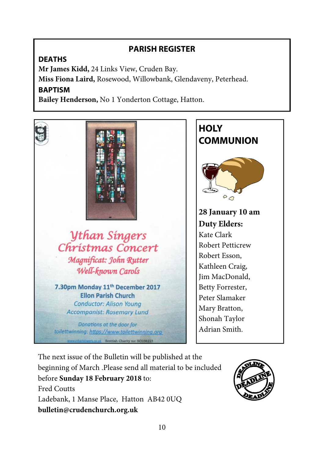#### **PARISH REGISTER**

#### **DEATHS**

**Mr James Kidd,** 24 Links View, Cruden Bay. **Miss Fiona Laird,** Rosewood, Willowbank, Glendaveny, Peterhead. **BAPTISM** 

**Bailey Henderson,** No 1 Yonderton Cottage, Hatton.



*<u>Uthan Singers</u>* Christmas Concert Magnificat: John Rutter Well-known Carols

7.30pm Monday 11th December 2017 **Ellon Parish Church Conductor: Alison Young Accompanist: Rosemary Lund** 

Donations at the door for toilettwinning: https://www.toilettwinning.org **13.co.uk Scottish Charity no: SC038223** 

**HOLY COMMUNION**   $\circ$ **28 January 10 am Duty Elders:**  Kate Clark Robert Petticrew Robert Esson, Kathleen Craig, Jim MacDonald, Betty Forrester, Peter Slamaker Mary Bratton, Shonah Taylor Adrian Smith.

The next issue of the Bulletin will be published at the beginning of March .Please send all material to be included before **Sunday 18 February 2018** to: Fred Coutts Ladebank, 1 Manse Place, Hatton AB42 0UQ **bulletin@crudenchurch.org.uk**

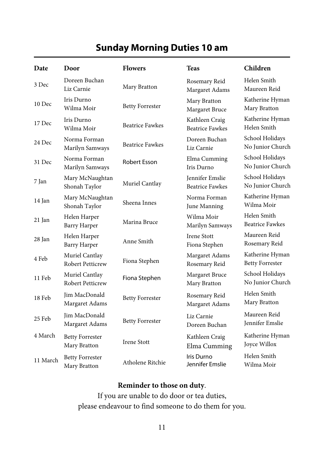# **Sunday Morning Duties 10 am**

| Date     | Door                                      | <b>Flowers</b>         | <b>Teas</b>                               | Children                                  |
|----------|-------------------------------------------|------------------------|-------------------------------------------|-------------------------------------------|
| 3 Dec    | Doreen Buchan<br>Liz Carnie               | Mary Bratton           | Rosemary Reid<br>Margaret Adams           | Helen Smith<br>Maureen Reid               |
| 10 Dec   | Iris Durno<br>Wilma Moir                  | <b>Betty Forrester</b> | Mary Bratton<br>Margaret Bruce            | Katherine Hyman<br>Mary Bratton           |
| 17 Dec   | Iris Durno<br>Wilma Moir                  | <b>Beatrice Fawkes</b> | Kathleen Craig<br><b>Beatrice Fawkes</b>  | Katherine Hyman<br>Helen Smith            |
| 24 Dec   | Norma Forman<br>Marilyn Samways           | <b>Beatrice Fawkes</b> | Doreen Buchan<br>Liz Carnie               | School Holidays<br>No Junior Church       |
| 31 Dec   | Norma Forman<br>Marilyn Samways           | Robert Esson           | Elma Cumming<br>Iris Durno                | School Holidays<br>No Junior Church       |
| 7 Jan    | Mary McNaughtan<br>Shonah Taylor          | Muriel Cantlay         | Jennifer Emslie<br><b>Beatrice Fawkes</b> | School Holidays<br>No Junior Church       |
| 14 Jan   | Mary McNaughtan<br>Shonah Taylor          | Sheena Innes           | Norma Forman<br>June Manning              | Katherine Hyman<br>Wilma Moir             |
| 21 Jan   | Helen Harper<br><b>Barry Harper</b>       | Marina Bruce           | Wilma Moir<br>Marilyn Samways             | Helen Smith<br><b>Beatrice Fawkes</b>     |
| 28 Jan   | Helen Harper<br><b>Barry Harper</b>       | Anne Smith             | <b>Irene Stott</b><br>Fiona Stephen       | Maureen Reid<br>Rosemary Reid             |
| 4 Feb    | Muriel Cantlay<br><b>Robert Petticrew</b> | Fiona Stephen          | Margaret Adams<br>Rosemary Reid           | Katherine Hyman<br><b>Betty Forrester</b> |
| 11 Feb   | Muriel Cantlay<br><b>Robert Petticrew</b> | Fiona Stephen          | Margaret Bruce<br>Mary Bratton            | School Holidays<br>No Junior Church       |
| 18 Feb   | Jim MacDonald<br>Margaret Adams           | <b>Betty Forrester</b> | Rosemary Reid<br>Margaret Adams           | Helen Smith<br>Mary Bratton               |
| 25 Feb   | <b>Iim MacDonald</b><br>Margaret Adams    | <b>Betty Forrester</b> | Liz Carnie<br>Doreen Buchan               | Maureen Reid<br>Jennifer Emslie           |
| 4 March  | <b>Betty Forrester</b><br>Mary Bratton    | <b>Irene Stott</b>     | Kathleen Craig<br>Elma Cumming            | Katherine Hyman<br>Joyce Willox           |
| 11 March | <b>Betty Forrester</b><br>Mary Bratton    | Atholene Ritchie       | Iris Durno<br>Jennifer Emslie             | Helen Smith<br>Wilma Moir                 |

#### **Reminder to those on duty**.

If you are unable to do door or tea duties, please endeavour to find someone to do them for you.